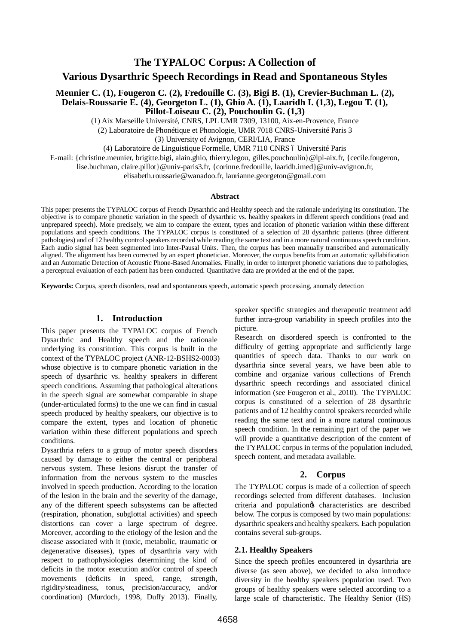**The TYPALOC Corpus: A Collection of** 

**Various Dysarthric Speech Recordings in Read and Spontaneous Styles**

**Meunier C. (1), Fougeron C. (2), Fredouille C. (3), Bigi B. (1), Crevier-Buchman L. (2), Delais-Roussarie E. (4), Georgeton L. (1), Ghio A. (1), Laaridh I. (1,3), Legou T. (1), Pillot-Loiseau C. (2), Pouchoulin G. (1,3)**

(1) Aix Marseille Université, CNRS, LPL UMR 7309, 13100, Aix-en-Provence, France

(2) Laboratoire de Phonétique et Phonologie, UMR 7018 CNRS-Université Paris 3

(3) University of Avignon, CERI/LIA, France

(4) Laboratoire de Linguistique Formelle, UMR 7110 CNRS ó Université Paris

E-mail: {christine.meunier, brigitte.bigi, alain.ghio, thierry.legou, gilles.pouchoulin}@lpl-aix.fr, {cecile.fougeron,

lise.buchman, claire.pillot}@univ-paris3.fr, {corinne.fredouille, laaridh.imed}@univ-avignon.fr,

elisabeth.roussarie@wanadoo.fr, laurianne.georgeton@gmail.com

#### **Abstract**

This paper presents the TYPALOC corpus of French Dysarthric and Healthy speech and the rationale underlying its constitution. The objective is to compare phonetic variation in the speech of dysarthric vs. healthy speakers in different speech conditions (read and unprepared speech). More precisely, we aim to compare the extent, types and location of phonetic variation within these different populations and speech conditions. The TYPALOC corpus is constituted of a selection of 28 dysarthric patients (three different pathologies) and of 12 healthy control speakers recorded while reading the same text and in a more natural continuous speech condition. Each audio signal has been segmented into Inter-Pausal Units. Then, the corpus has been manually transcribed and automatically aligned. The alignment has been corrected by an expert phonetician. Moreover, the corpus benefits from an automatic syllabification and an Automatic Detection of Acoustic Phone-Based Anomalies. Finally, in order to interpret phonetic variations due to pathologies, a perceptual evaluation of each patient has been conducted. Quantitative data are provided at the end of the paper.

**Keywords:** Corpus, speech disorders, read and spontaneous speech, automatic speech processing, anomaly detection

### **1. Introduction**

This paper presents the TYPALOC corpus of French Dysarthric and Healthy speech and the rationale underlying its constitution. This corpus is built in the context of the TYPALOC project (ANR-12-BSHS2-0003) whose objective is to compare phonetic variation in the speech of dysarthric vs. healthy speakers in different speech conditions. Assuming that pathological alterations in the speech signal are somewhat comparable in shape (under-articulated forms) to the one we can find in casual speech produced by healthy speakers, our objective is to compare the extent, types and location of phonetic variation within these different populations and speech conditions.

Dysarthria refers to a group of motor speech disorders caused by damage to either the central or peripheral nervous system. These lesions disrupt the transfer of information from the nervous system to the muscles involved in speech production. According to the location of the lesion in the brain and the severity of the damage, any of the different speech subsystems can be affected (respiration, phonation, subglottal activities) and speech distortions can cover a large spectrum of degree. Moreover, according to the etiology of the lesion and the disease associated with it (toxic, metabolic, traumatic or degenerative diseases), types of dysarthria vary with respect to pathophysiologies determining the kind of deficits in the motor execution and/or control of speech movements (deficits in speed, range, strength, rigidity/steadiness, tonus, precision/accuracy, and/or coordination) (Murdoch, 1998, Duffy 2013). Finally,

speaker specific strategies and therapeutic treatment add further intra-group variability in speech profiles into the picture.

Research on disordered speech is confronted to the difficulty of getting appropriate and sufficiently large quantities of speech data. Thanks to our work on dysarthria since several years, we have been able to combine and organize various collections of French dysarthric speech recordings and associated clinical information (see Fougeron et al., 2010). The TYPALOC corpus is constituted of a selection of 28 dysarthric patients and of 12 healthy control speakers recorded while reading the same text and in a more natural continuous speech condition. In the remaining part of the paper we will provide a quantitative description of the content of the TYPALOC corpus in terms of the population included, speech content, and metadata available.

### **2. Corpus**

The TYPALOC corpus is made of a collection of speech recordings selected from different databases. Inclusion criteria and population's characteristics are described below. The corpus is composed by two main populations: dysarthric speakers and healthy speakers. Each population contains several sub-groups.

### **2.1. Healthy Speakers**

Since the speech profiles encountered in dysarthria are diverse (as seen above), we decided to also introduce diversity in the healthy speakers population used. Two groups of healthy speakers were selected according to a large scale of characteristic. The Healthy Senior (HS)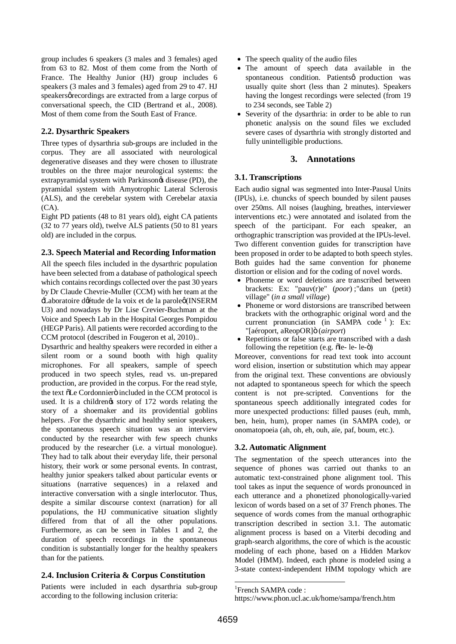group includes 6 speakers (3 males and 3 females) aged from 63 to 82. Most of them come from the North of France. The Healthy Junior (HJ) group includes 6 speakers (3 males and 3 females) aged from 29 to 47. HJ speakersøre cordings are extracted from a large corpus of conversational speech, the CID (Bertrand et al., 2008). Most of them come from the South East of France.

## **2.2. Dysarthric Speakers**

Three types of dysarthria sub-groups are included in the corpus. They are all associated with neurological degenerative diseases and they were chosen to illustrate troubles on the three major neurological systems: the extrapyramidal system with Parkinson $\alpha$  disease (PD), the pyramidal system with Amyotrophic Lateral Sclerosis (ALS), and the cerebelar system with Cerebelar ataxia (CA).

Eight PD patients (48 to 81 years old), eight CA patients (32 to 77 years old), twelve ALS patients (50 to 81 years old) are included in the corpus.

## **2.3. Speech Material and Recording Information**

All the speech files included in the dysarthric population have been selected from a database of pathological speech which contains recordings collected over the past 30 years by Dr Claude Chevrie-Muller (CCM) with her team at the 'Laboratoire d'étude de la voix et de la parole' (INSERM U3) and nowadays by Dr Lise Crevier-Buchman at the Voice and Speech Lab in the Hospital Georges Pompidou (HEGP Paris). All patients were recorded according to the CCM protocol (described in Fougeron et al, 2010)..

Dysarthric and healthy speakers were recorded in either a silent room or a sound booth with high quality microphones. For all speakers, sample of speech produced in two speech styles, read vs. un-prepared production, are provided in the corpus. For the read style, the text  $\delta$ Le Cordonniero included in the CCM protocol is used. It is a childrengt story of 172 words relating the story of a shoemaker and its providential goblins helpers. .For the dysarthric and healthy senior speakers, the spontaneous speech situation was an interview conducted by the researcher with few speech chunks produced by the researcher (i.e. a virtual monologue). They had to talk about their everyday life, their personal history, their work or some personal events. In contrast, healthy junior speakers talked about particular events or situations (narrative sequences) in a relaxed and interactive conversation with a single interlocutor. Thus, despite a similar discourse context (narration) for all populations, the HJ communicative situation slightly differed from that of all the other populations. Furthermore, as can be seen in Tables 1 and 2, the duration of speech recordings in the spontaneous condition is substantially longer for the healthy speakers than for the patients.

# **2.4. Inclusion Criteria & Corpus Constitution**

Patients were included in each dysarthria sub-group according to the following inclusion criteria:

- The speech quality of the audio files
- · The amount of speech data available in the spontaneous condition. Patientsø production was usually quite short (less than 2 minutes). Speakers having the longest recordings were selected (from 19 to 234 seconds, see Table 2)
- Severity of the dysarthria: in order to be able to run phonetic analysis on the sound files we excluded severe cases of dysarthria with strongly distorted and fully unintelligible productions.

# **3. Annotations**

## **3.1. Transcriptions**

Each audio signal was segmented into Inter-Pausal Units (IPUs), i.e. chuncks of speech bounded by silent pauses over 250ms. All noises (laughing, breathes, interviewer interventions etc.) were annotated and isolated from the speech of the participant. For each speaker, an orthographic transcription was provided at the IPUs-level. Two different convention guides for transcription have been proposed in order to be adapted to both speech styles. Both guides had the same convention for phoneme distortion or elision and for the coding of novel words.

- · Phoneme or word deletions are transcribed between brackets: Ex: "pauv(r)e" (*poor*) ;"dans un (petit) village" (*in a small village*)
- · Phoneme or word distorsions are transcribed between brackets with the orthographic original word and the current pronunciation (in SAMPA code  $^1$ ): Ex: "[aéroport, aReopOR]" (*airport*)
- Repetitions or false starts are transcribed with a dash following the repetition (e.g.  $\delta$ le- le- $\ddot{\theta}$ )

Moreover, conventions for read text took into account word elision, insertion or substitution which may appear from the original text. These conventions are obviously not adapted to spontaneous speech for which the speech content is not pre-scripted. Conventions for the spontaneous speech additionally integrated codes for more unexpected productions: filled pauses (euh, mmh, ben, hein, hum), proper names (in SAMPA code), or onomatopoeia (ah, oh, eh, ouh, aïe, paf, boum, etc.).

# **3.2. Automatic Alignment**

The segmentation of the speech utterances into the sequence of phones was carried out thanks to an automatic text-constrained phone alignment tool. This tool takes as input the sequence of words pronounced in each utterance and a phonetized phonologically-varied lexicon of words based on a set of 37 French phones. The sequence of words comes from the manual orthographic transcription described in section 3.1. The automatic alignment process is based on a Viterbi decoding and graph-search algorithms, the core of which is the acoustic modeling of each phone, based on a Hidden Markov Model (HMM). Indeed, each phone is modeled using a 3-state context-independent HMM topology which are

<sup>&</sup>lt;sup>1</sup>French SAMPA code :

https://www.phon.ucl.ac.uk/home/sampa/french.htm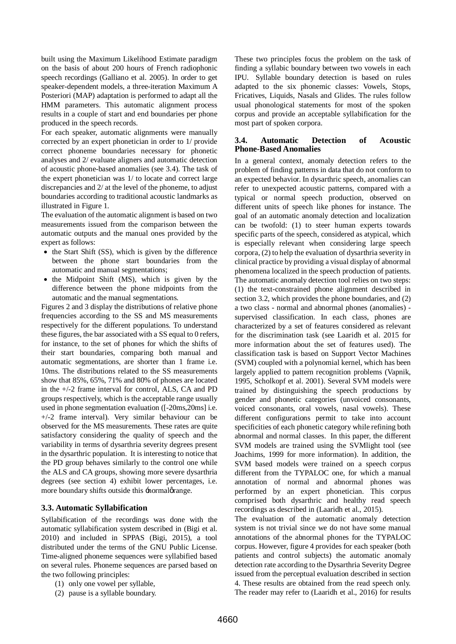built using the Maximum Likelihood Estimate paradigm on the basis of about 200 hours of French radiophonic speech recordings (Galliano et al. 2005). In order to get speaker-dependent models, a three-iteration Maximum A Posteriori (MAP) adaptation is performed to adapt all the HMM parameters. This automatic alignment process results in a couple of start and end boundaries per phone produced in the speech records.

For each speaker, automatic alignments were manually corrected by an expert phonetician in order to 1/ provide correct phoneme boundaries necessary for phonetic analyses and 2/ evaluate aligners and automatic detection of acoustic phone-based anomalies (see 3.4). The task of the expert phonetician was 1/ to locate and correct large discrepancies and 2/ at the level of the phoneme, to adjust boundaries according to traditional acoustic landmarks as illustrated in Figure 1.

The evaluation of the automatic alignment is based on two measurements issued from the comparison between the automatic outputs and the manual ones provided by the expert as follows:

- the Start Shift (SS), which is given by the difference between the phone start boundaries from the automatic and manual segmentations;
- the Midpoint Shift (MS), which is given by the difference between the phone midpoints from the automatic and the manual segmentations.

Figures 2 and 3 display the distributions of relative phone frequencies according to the SS and MS measurements respectively for the different populations. To understand these figures, the bar associated with a SS equal to 0 refers, for instance, to the set of phones for which the shifts of their start boundaries, comparing both manual and automatic segmentations, are shorter than 1 frame i.e. 10ms. The distributions related to the SS measurements show that 85%, 65%, 71% and 80% of phones are located in the +/-2 frame interval for control, ALS, CA and PD groups respectively, which is the acceptable range usually used in phone segmentation evaluation ([-20ms,20ms] i.e. +/-2 frame interval). Very similar behaviour can be observed for the MS measurements. These rates are quite satisfactory considering the quality of speech and the variability in terms of dysarthria severity degrees present in the dysarthric population. It is interesting to notice that the PD group behaves similarly to the control one while the ALS and CA groups, showing more severe dysarthria degrees (see section 4) exhibit lower percentages, i.e. more boundary shifts outside this -normalørange.

## **3.3. Automatic Syllabification**

Syllabification of the recordings was done with the automatic syllabification system described in (Bigi et al. 2010) and included in SPPAS (Bigi, 2015), a tool distributed under the terms of the GNU Public License. Time-aligned phoneme sequences were syllabified based on several rules. Phoneme sequences are parsed based on the two following principles:

- (1) only one vowel per syllable,
- (2) pause is a syllable boundary.

These two principles focus the problem on the task of finding a syllabic boundary between two vowels in each IPU. Syllable boundary detection is based on rules adapted to the six phonemic classes: Vowels, Stops, Fricatives, Liquids, Nasals and Glides. The rules follow usual phonological statements for most of the spoken corpus and provide an acceptable syllabification for the most part of spoken corpora.

### **3.4. Automatic Detection of Acoustic Phone-Based Anomalies**

In a general context, anomaly detection refers to the problem of finding patterns in data that do not conform to an expected behavior. In dysarthric speech, anomalies can refer to unexpected acoustic patterns, compared with a typical or normal speech production, observed on different units of speech like phones for instance. The goal of an automatic anomaly detection and localization can be twofold: (1) to steer human experts towards specific parts of the speech, considered as atypical, which is especially relevant when considering large speech corpora, (2) to help the evaluation of dysarthria severity in clinical practice by providing a visual display of abnormal phenomena localized in the speech production of patients. The automatic anomaly detection tool relies on two steps: (1) the text-constrained phone alignment described in section 3.2, which provides the phone boundaries, and (2) a two class - normal and abnormal phones (anomalies) supervised classification. In each class, phones are characterized by a set of features considered as relevant for the discrimination task (see Laaridh et al. 2015 for more information about the set of features used). The classification task is based on Support Vector Machines (SVM) coupled with a polynomial kernel, which has been largely applied to pattern recognition problems (Vapnik, 1995, Scholkopf et al. 2001). Several SVM models were trained by distinguishing the speech productions by gender and phonetic categories (unvoiced consonants, voiced consonants, oral vowels, nasal vowels). These different configurations permit to take into account specificities of each phonetic category while refining both abnormal and normal classes. In this paper, the different SVM models are trained using the SVMlight tool (see Joachims, 1999 for more information). In addition, the SVM based models were trained on a speech corpus different from the TYPALOC one, for which a manual annotation of normal and abnormal phones was performed by an expert phonetician. This corpus comprised both dysarthric and healthy read speech recordings as described in (Laaridh et al., 2015).

The evaluation of the automatic anomaly detection system is not trivial since we do not have some manual annotations of the abnormal phones for the TYPALOC corpus. However, figure 4 provides for each speaker (both patients and control subjects) the automatic anomaly detection rate according to the Dysarthria Severity Degree issued from the perceptual evaluation described in section 4. These results are obtained from the read speech only. The reader may refer to (Laaridh et al., 2016) for results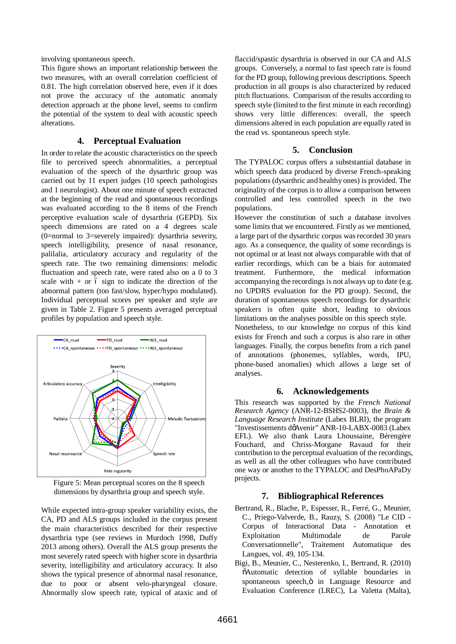involving spontaneous speech.

This figure shows an important relationship between the two measures, with an overall correlation coefficient of 0.81. The high correlation observed here, even if it does not prove the accuracy of the automatic anomaly detection approach at the phone level, seems to confirm the potential of the system to deal with acoustic speech alterations.

### **4. Perceptual Evaluation**

In order to relate the acoustic characteristics on the speech file to perceived speech abnormalities, a perceptual evaluation of the speech of the dysarthric group was carried out by 11 expert judges (10 speech pathologists and 1 neurologist). About one minute of speech extracted at the beginning of the read and spontaneous recordings was evaluated according to the 8 items of the French perceptive evaluation scale of dysarthria (GEPD). Six speech dimensions are rated on a 4 degrees scale (0=normal to 3=severely impaired): dysarthria severity, speech intelligibility, presence of nasal resonance, palilalia, articulatory accuracy and regularity of the speech rate. The two remaining dimensions: melodic fluctuation and speech rate, were rated also on a 0 to 3 scale with  $+$  or 6 sign to indicate the direction of the abnormal pattern (too fast/slow, hyper/hypo modulated). Individual perceptual scores per speaker and style are given in Table 2. Figure 5 presents averaged perceptual profiles by population and speech style.



Figure 5: Mean perceptual scores on the 8 speech dimensions by dysarthria group and speech style.

While expected intra-group speaker variability exists, the CA, PD and ALS groups included in the corpus present the main characteristics described for their respective dysarthria type (see reviews in Murdoch 1998, Duffy 2013 among others). Overall the ALS group presents the most severely rated speech with higher score in dysarthria severity, intelligibility and articulatory accuracy. It also shows the typical presence of abnormal nasal resonance, due to poor or absent velo-pharyngeal closure. Abnormally slow speech rate, typical of ataxic and of

flaccid/spastic dysarthria is observed in our CA and ALS groups. Conversely, a normal to fast speech rate is found for the PD group, following previous descriptions. Speech production in all groups is also characterized by reduced pitch fluctuations. Comparison of the results according to speech style (limited to the first minute in each recording) shows very little differences: overall, the speech dimensions altered in each population are equally rated in the read vs. spontaneous speech style.

#### **5. Conclusion**

The TYPALOC corpus offers a subststantial database in which speech data produced by diverse French-speaking populations (dysarthric and healthy ones) is provided. The originality of the corpus is to allow a comparison between controlled and less controlled speech in the two populations.

However the constitution of such a database involves some limits that we encountered. Firstly as we mentioned, a large part of the dysarthric corpus was recorded 30 years ago. As a consequence, the quality of some recordings is not optimal or at least not always comparable with that of earlier recordings, which can be a biais for automated treatment. Furthermore, the medical information accompanying the recordings is not always up to date (e.g. no UPDRS evaluation for the PD group). Second, the duration of spontaneous speech recordings for dysarthric speakers is often quite short, leading to obvious limitations on the analyses possible on this speech style. Nonetheless, to our knowledge no corpus of this kind exists for French and such a corpus is also rare in other languages. Finally, the corpus benefits from a rich panel of annotations (phonemes, syllables, words, IPU, phone-based anomalies) which allows a large set of analyses.

### **6. Acknowledgements**

This research was supported by the *French National Research Agency* (ANR-12-BSHS2-0003), the *Brain & Language Research Institute* (Labex BLRI), the program "Investissements døAvenir" ANR-10-LABX-0083 (Labex EFL). We also thank Laura Lhoussaine, Bérengère Fouchard, and Chriss-Morgane Ravaud for their contribution to the perceptual evaluation of the recordings, as well as all the other colleagues who have contributed one way or another to the TYPALOC and DesPhoAPaDy projects.

#### **7. Bibliographical References**

- Bertrand, R., Blache, P., Espesser, R., Ferré, G., Meunier, C., Priego-Valverde, B., Rauzy, S. (2008) "Le CID - Corpus of Interactional Data - Annotation et Exploitation Multimodale de Parole Conversationnelle", Traitement Automatique des Langues, vol. 49, 105-134.
- Bigi, B., Meunier, C., Nesterenko, I., Bertrand, R. (2010) "Automatic detection of syllable boundaries in spontaneous speech, ö in Language Resource and Evaluation Conference (LREC), La Valetta (Malta),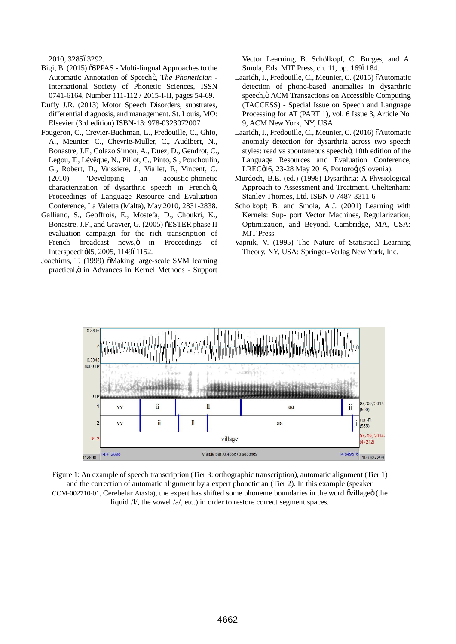2010, 328563292.

- Bigi, B. (2015)  $\delta$ SPPAS Multi-lingual Approaches to the Automatic Annotation of Speechö, The Phonetician -International Society of Phonetic Sciences, ISSN 0741-6164, Number 111-112 / 2015-I-II, pages 54-69.
- Duffy J.R. (2013) Motor Speech Disorders, substrates, differential diagnosis, and management. St. Louis, MO: Elsevier (3rd edition) ISBN-13: 978-0323072007
- Fougeron, C., Crevier-Buchman, L., Fredouille, C., Ghio, A., Meunier, C., Chevrie-Muller, C., Audibert, N., Bonastre, J.F., Colazo Simon, A., Duez, D., Gendrot, C., Legou, T., Lévêque, N., Pillot, C., Pinto, S., Pouchoulin, G., Robert, D., Vaissiere, J., Viallet, F., Vincent, C. (2010) "Developing an acoustic-phonetic characterization of dysarthric speech in French.<sub>"</sub>, Proceedings of Language Resource and Evaluation Conference, La Valetta (Malta), May 2010, 2831-2838.
- Galliano, S., Geoffrois, E., Mostefa, D., Choukri, K., Bonastre, J.F., and Gravier, G. (2005) õESTER phase II evaluation campaign for the rich transcription of French broadcast news, ö in Proceedings of Interspeech $\varnothing$ 5, 2005, 114961152.
- Joachims, T. (1999)  $\delta$ Making large-scale SVM learning practical,  $\ddot{o}$  in Advances in Kernel Methods - Support

Vector Learning, B. Schölkopf, C. Burges, and A. Smola, Eds. MIT Press, ch. 11, pp. 1696184.

- Laaridh, I., Fredouille, C., Meunier, C. (2015) õAutomatic detection of phone-based anomalies in dysarthric speech, ö ACM Transactions on Accessible Computing (TACCESS) - Special Issue on Speech and Language Processing for AT (PART 1), vol. 6 Issue 3, Article No. 9, ACM New York, NY, USA.
- Laaridh, I., Fredouille, C., Meunier, C. (2016) õAutomatic anomaly detection for dysarthria across two speech styles: read vs spontaneous speechö, 10th edition of the Language Resources and Evaluation Conference, LRECøl 6, 23-28 May 2016, Portorofl (Slovenia).
- Murdoch, B.E. (ed.) (1998) Dysarthria: A Physiological Approach to Assessment and Treatment. Cheltenham: Stanley Thornes, Ltd. ISBN 0-7487-3311-6
- Scholkopf; B. and Smola, A.J. (2001) Learning with Kernels: Sup- port Vector Machines, Regularization, Optimization, and Beyond. Cambridge, MA, USA: MIT Press.
- Vapnik, V. (1995) The Nature of Statistical Learning Theory. NY, USA: Springer-Verlag New York, Inc.



Figure 1: An example of speech transcription (Tier 3: orthographic transcription), automatic alignment (Tier 1) and the correction of automatic alignment by a expert phonetician (Tier 2). In this example (speaker CCM-002710-01, Cerebelar Ataxia), the expert has shifted some phoneme boundaries in the word ovillage i(the liquid  $/V$ , the vowel  $/a$ , etc.) in order to restore correct segment spaces.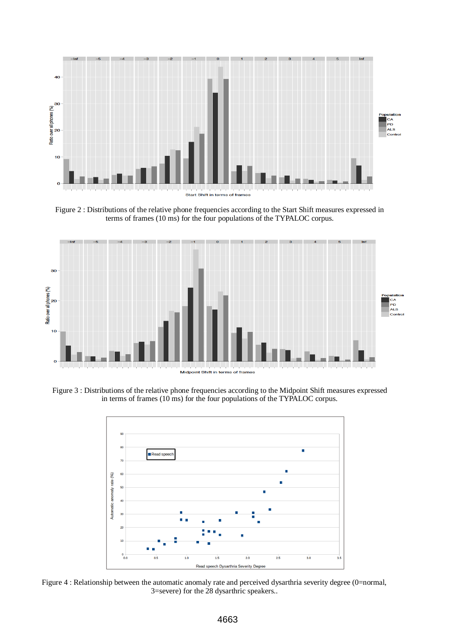

Figure 2 : Distributions of the relative phone frequencies according to the Start Shift measures expressed in terms of frames (10 ms) for the four populations of the TYPALOC corpus.



Figure 3 : Distributions of the relative phone frequencies according to the Midpoint Shift measures expressed in terms of frames (10 ms) for the four populations of the TYPALOC corpus.



Figure 4 : Relationship between the automatic anomaly rate and perceived dysarthria severity degree (0=normal, 3=severe) for the 28 dysarthric speakers..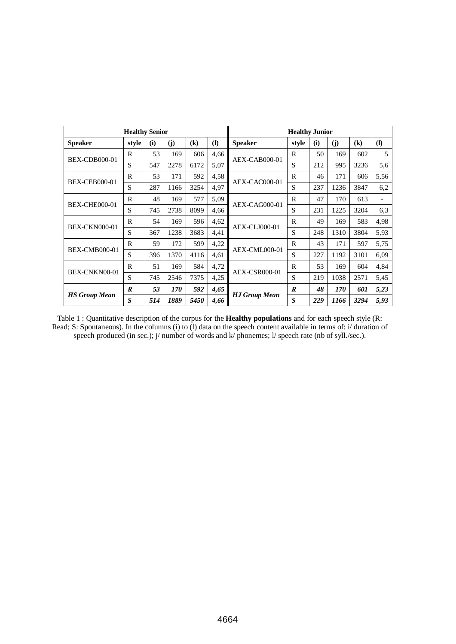|                      | <b>Healthy Senior</b> |     |      |                            | <b>Healthy Junior</b> |                      |                  |     |      |                            |                          |  |
|----------------------|-----------------------|-----|------|----------------------------|-----------------------|----------------------|------------------|-----|------|----------------------------|--------------------------|--|
| <b>Speaker</b>       | style                 | (i) | (j)  | $\left( \mathbf{k}\right)$ | $\mathbf{I}$          | <b>Speaker</b>       | style            | (i) | (j)  | $\left( \mathbf{k}\right)$ | $\mathbf{I}$             |  |
| <b>BEX-CDB000-01</b> | $\mathbb{R}$          | 53  | 169  | 606                        | 4,66                  | AEX-CAB000-01        | $\mathbb{R}$     | 50  | 169  | 602                        | 5                        |  |
|                      | S                     | 547 | 2278 | 6172                       | 5,07                  |                      | S                | 212 | 995  | 3236                       | 5,6                      |  |
| <b>BEX-CEB000-01</b> | R                     | 53  | 171  | 592                        | 4,58                  | AEX-CAC000-01        | R                | 46  | 171  | 606                        | 5,56                     |  |
|                      | S                     | 287 | 1166 | 3254                       | 4,97                  |                      | S                | 237 | 1236 | 3847                       | 6,2                      |  |
| <b>BEX-CHE000-01</b> | $\mathbb{R}$          | 48  | 169  | 577                        | 5,09                  | AEX-CAG000-01        | $\mathbb{R}$     | 47  | 170  | 613                        | $\overline{\phantom{0}}$ |  |
|                      | S                     | 745 | 2738 | 8099                       | 4,66                  |                      | S                | 231 | 1225 | 3204                       | 6,3                      |  |
| <b>BEX-CKN000-01</b> | R                     | 54  | 169  | 596                        | 4,62                  | AEX-CLJ000-01        | R                | 49  | 169  | 583                        | 4,98                     |  |
|                      | S                     | 367 | 1238 | 3683                       | 4,41                  |                      | S                | 248 | 1310 | 3804                       | 5,93                     |  |
| <b>BEX-CMB000-01</b> | R                     | 59  | 172  | 599                        | 4,22                  | AEX-CML000-01        | R                | 43  | 171  | 597                        | 5,75                     |  |
|                      | S                     | 396 | 1370 | 4116                       | 4,61                  |                      | S                | 227 | 1192 | 3101                       | 6,09                     |  |
| BEX-CNKN00-01        | R                     | 51  | 169  | 584                        | 4,72                  | <b>AEX-CSR000-01</b> | R                | 53  | 169  | 604                        | 4,84                     |  |
|                      | S                     | 745 | 2546 | 7375                       | 4,25                  |                      | S                | 219 | 1038 | 2571                       | 5,45                     |  |
| <b>HS Group Mean</b> | $\boldsymbol{R}$      | 53  | 170  | 592                        | 4,65                  |                      | $\boldsymbol{R}$ | 48  | 170  | 601                        | 5,23                     |  |
|                      | S                     | 514 | 1889 | 5450                       | 4,66                  | <b>HJ Group Mean</b> | $\boldsymbol{S}$ | 229 | 1166 | 3294                       | 5,93                     |  |

Table 1 : Quantitative description of the corpus for the **Healthy populations** and for each speech style (R: Read; S: Spontaneous). In the columns (i) to (l) data on the speech content available in terms of: i/ duration of speech produced (in sec.); j/ number of words and k/ phonemes; l/ speech rate (nb of syll./sec.).